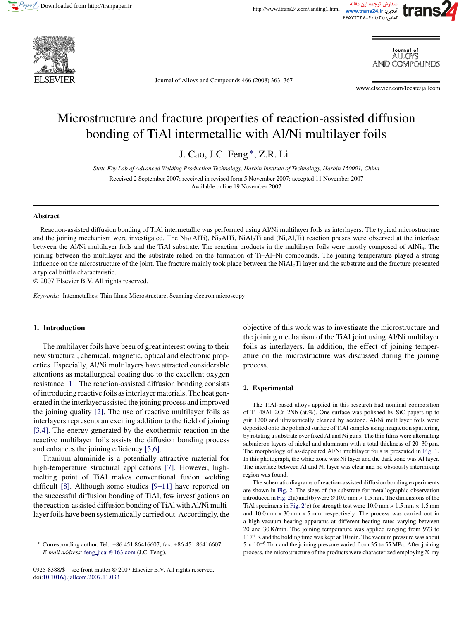





Journal of Alloys and Compounds 466 (2008) 363–367

www.elsevier.com/locate/jallcom

Journal of ai i oys COMPOL INDS

# Microstructure and fracture properties of reaction-assisted diffusion bonding of TiAl intermetallic with Al/Ni multilayer foils

J. Cao, J.C. Feng ∗, Z.R. Li

*State Key Lab of Advanced Welding Production Technology, Harbin Institute of Technology, Harbin 150001, China* Received 2 September 2007; received in revised form 5 November 2007; accepted 11 November 2007 Available online 19 November 2007

#### **Abstract**

Reaction-assisted diffusion bonding of TiAl intermetallic was performed using Al/Ni multilayer foils as interlayers. The typical microstructure and the joining mechanism were investigated. The Ni<sub>3</sub>(AlTi), Ni<sub>2</sub>AlTi, NiAl<sub>2</sub>Ti and (Ni,Al,Ti) reaction phases were observed at the interface between the Al/Ni multilayer foils and the TiAl substrate. The reaction products in the multilayer foils were mostly composed of AlNi<sub>3</sub>. The joining between the multilayer and the substrate relied on the formation of Ti–Al–Ni compounds. The joining temperature played a strong influence on the microstructure of the joint. The fracture mainly took place between the NiAl2Ti layer and the substrate and the fracture presented a typical brittle characteristic.

© 2007 Elsevier B.V. All rights reserved.

*Keywords:* Intermetallics; Thin films; Microstructure; Scanning electron microscopy

#### **1. Introduction**

The multilayer foils have been of great interest owing to their new structural, chemical, magnetic, optical and electronic properties. Especially, Al/Ni multilayers have attracted considerable attentions as metallurgical coating due to the excellent oxygen resistance [\[1\].](#page-4-0) The reaction-assisted diffusion bonding consists of introducing reactive foils as interlayer materials. The heat generated in the interlayer assisted the joining process and improved the joining quality [\[2\].](#page-4-0) The use of reactive multilayer foils as interlayers represents an exciting addition to the field of joining [\[3,4\].](#page-4-0) The energy generated by the exothermic reaction in the reactive multilayer foils assists the diffusion bonding process and enhances the joining efficiency [\[5,6\].](#page-4-0)

Titanium aluminide is a potentially attractive material for high-temperature structural applications [\[7\].](#page-4-0) However, highmelting point of TiAl makes conventional fusion welding difficult [\[8\].](#page-4-0) Although some studies [\[9–11\]](#page-4-0) have reported on the successful diffusion bonding of TiAl, few investigations on the reaction-assisted diffusion bonding of TiAl with Al/Ni multilayer foils have been systematically carried out. Accordingly, the

0925-8388/\$ – see front matter © 2007 Elsevier B.V. All rights reserved. doi[:10.1016/j.jallcom.2007.11.033](dx.doi.org/10.1016/j.jallcom.2007.11.033)

objective of this work was to investigate the microstructure and the joining mechanism of the TiAl joint using Al/Ni multilayer foils as interlayers. In addition, the effect of joining temperature on the microstructure was discussed during the joining process.

### **2. Experimental**

The TiAl-based alloys applied in this research had nominal composition of Ti–48Al–2Cr–2Nb (at.%). One surface was polished by SiC papers up to grit 1200 and ultrasonically cleaned by acetone. Al/Ni multilayer foils were deposited onto the polished surface of TiAl samples using magnetron sputtering, by rotating a substrate over fixed Al and Ni guns. The thin films were alternating submicron layers of nickel and aluminum with a total thickness of  $20-30 \,\mu m$ . The morphology of as-deposited Al/Ni multilayer foils is presented in [Fig. 1.](#page-1-0) In this photograph, the white zone was Ni layer and the dark zone was Al layer. The interface between Al and Ni layer was clear and no obviously intermixing region was found.

The schematic diagrams of reaction-assisted diffusion bonding experiments are shown in [Fig. 2. T](#page-1-0)he sizes of the substrate for metallographic observation introduced in [Fig. 2\(a](#page-1-0)) and (b) were  $\varnothing$  10.0 mm  $\times$  1.5 mm. The dimensions of the TiAl specimens in [Fig. 2\(c](#page-1-0)) for strength test were  $10.0$  mm  $\times$  1.5 mm  $\times$  1.5 mm and  $10.0 \text{ mm} \times 30 \text{ mm} \times 5 \text{ mm}$ , respectively. The process was carried out in a high-vacuum heating apparatus at different heating rates varying between 20 and 30 K/min. The joining temperature was applied ranging from 973 to 1173 K and the holding time was kept at 10 min. The vacuum pressure was about <sup>5</sup> <sup>×</sup> <sup>10</sup>−<sup>6</sup> Torr and the joining pressure varied from 35 to 55 MPa. After joining process, the microstructure of the products were characterized employing X-ray

<sup>∗</sup> Corresponding author. Tel.: +86 451 86416607; fax: +86 451 86416607. *E-mail address:* feng [jicai@163.com](mailto:feng_jicai@163.com) (J.C. Feng).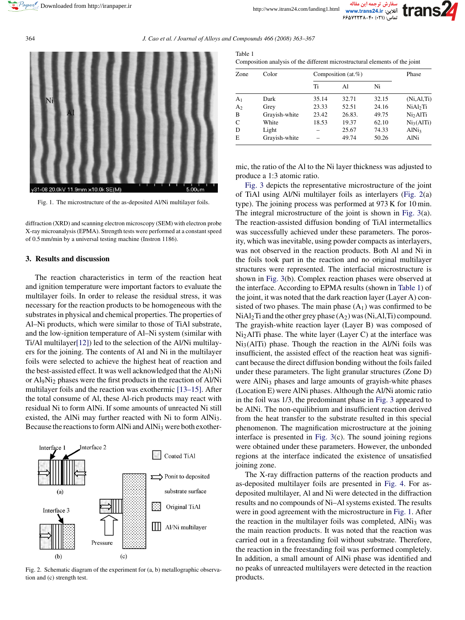<span id="page-1-0"></span>364 *J. Cao et al. / Journal of Alloys and Compounds 466 (2008) 363–367*



Fig. 1. The microstructure of the as-deposited Al/Ni multilayer foils.

diffraction (XRD) and scanning electron microscopy (SEM) with electron probe X-ray microanalysis (EPMA). Strength tests were performed at a constant speed of 0.5 mm/min by a universal testing machine (Instron 1186).

## **3. Results and discussion**

The reaction characteristics in term of the reaction heat and ignition temperature were important factors to evaluate the multilayer foils. In order to release the residual stress, it was necessary for the reaction products to be homogeneous with the substrates in physical and chemical properties. The properties of Al–Ni products, which were similar to those of TiAl substrate, and the low-ignition temperature of Al–Ni system (similar with Ti/Al multilaye[r\[12\]\)](#page-4-0) led to the selection of the Al/Ni multilayers for the joining. The contents of Al and Ni in the multilayer foils were selected to achieve the highest heat of reaction and the best-assisted effect. It was well acknowledged that the  $A1_3Ni$ or Al9Ni2 phases were the first products in the reaction of Al/Ni multilayer foils and the reaction was exothermic [\[13–15\]. A](#page-4-0)fter the total consume of Al, these Al-rich products may react with residual Ni to form AlNi. If some amounts of unreacted Ni still existed, the AlNi may further reacted with Ni to form AlNi<sub>3</sub>. Because the reactions to form AlNi and AlNi<sub>3</sub> were both exother-



Fig. 2. Schematic diagram of the experiment for (a, b) metallographic observation and (c) strength test.

| Table 1                                                                     |
|-----------------------------------------------------------------------------|
| Composition analysis of the different microstructural elements of the joint |

| Zone           | Color         | Composition $(at,\%)$ |        |       | Phase                |
|----------------|---------------|-----------------------|--------|-------|----------------------|
|                |               | Ti                    | Al     | Ni    |                      |
| A <sub>1</sub> | Dark          | 35.14                 | 32.71  | 32.15 | (Ni, Al, Ti)         |
| A <sub>2</sub> | Grey          | 23.33                 | 52.51  | 24.16 | NiAl <sub>2</sub> Ti |
| B              | Grayish-white | 23.42                 | 26.83. | 49.75 | Ni <sub>2</sub> AlTi |
| $\mathsf{C}$   | White         | 18.53                 | 19.37  | 62.10 | $Ni_3(AITi)$         |
| D              | Light         |                       | 25.67  | 74.33 | AlNi <sub>3</sub>    |
| E              | Grayish-white |                       | 49.74  | 50.26 | AlNi                 |

mic, the ratio of the Al to the Ni layer thickness was adjusted to produce a 1:3 atomic ratio.

[Fig. 3](#page-2-0) depicts the representative microstructure of the joint of TiAl using Al/Ni multilayer foils as interlayers (Fig. 2(a) type). The joining process was performed at 973 K for 10 min. The integral microstructure of the joint is shown in [Fig. 3\(a](#page-2-0)). The reaction-assisted diffusion bonding of TiAl intermetallics was successfully achieved under these parameters. The porosity, which was inevitable, using powder compacts as interlayers, was not observed in the reaction products. Both Al and Ni in the foils took part in the reaction and no original multilayer structures were represented. The interfacial microstructure is shown in [Fig. 3\(b](#page-2-0)). Complex reaction phases were observed at the interface. According to EPMA results (shown in Table 1) of the joint, it was noted that the dark reaction layer (Layer A) consisted of two phases. The main phase  $(A_1)$  was confirmed to be  $NiAl<sub>2</sub>Ti$  and the other grey phase  $(A<sub>2</sub>)$  was  $(Ni, A1, Ti)$  compound. The grayish-white reaction layer (Layer B) was composed of Ni2AlTi phase. The white layer (Layer C) at the interface was  $Ni<sub>3</sub>(AlTi)$  phase. Though the reaction in the Al/Ni foils was insufficient, the assisted effect of the reaction heat was significant because the direct diffusion bonding without the foils failed under these parameters. The light granular structures (Zone D) were AlNi<sub>3</sub> phases and large amounts of grayish-white phases (Location E) were AlNi phases. Although the Al/Ni atomic ratio in the foil was 1/3, the predominant phase in [Fig. 3](#page-2-0) appeared to be AlNi. The non-equilibrium and insufficient reaction derived from the heat transfer to the substrate resulted in this special phenomenon. The magnification microstructure at the joining interface is presented in [Fig. 3\(c](#page-2-0)). The sound joining regions were obtained under these parameters. However, the unbonded regions at the interface indicated the existence of unsatisfied joining zone.

The X-ray diffraction patterns of the reaction products and as-deposited multilayer foils are presented in [Fig. 4.](#page-2-0) For asdeposited multilayer, Al and Ni were detected in the diffraction results and no compounds of Ni–Al systems existed. The results were in good agreement with the microstructure in Fig. 1. After the reaction in the multilayer foils was completed,  $AlNi<sub>3</sub>$  was the main reaction products. It was noted that the reaction was carried out in a freestanding foil without substrate. Therefore, the reaction in the freestanding foil was performed completely. In addition, a small amount of AlNi phase was identified and no peaks of unreacted multilayers were detected in the reaction products.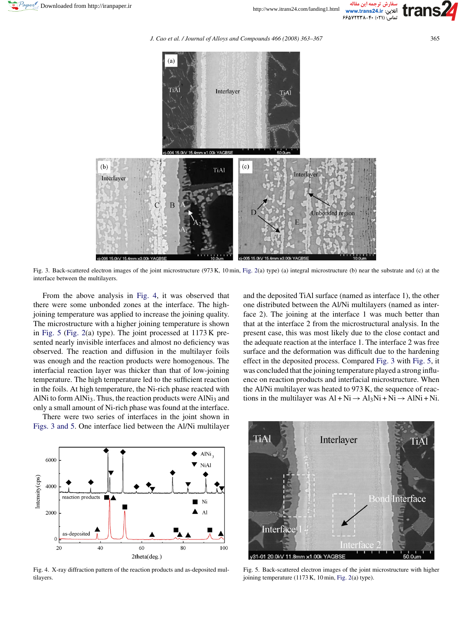

*J. Cao et al. / Journal of Alloys and Compounds 466 (2008) 363–367* 365

<span id="page-2-0"></span>

Fig. 3. Back-scattered electron images of the joint microstructure (973 K, 10 min, [Fig. 2\(a](#page-1-0)) type) (a) integral microstructure (b) near the substrate and (c) at the interface between the multilayers.

From the above analysis in Fig. 4, it was observed that there were some unbonded zones at the interface. The highjoining temperature was applied to increase the joining quality. The microstructure with a higher joining temperature is shown in Fig. 5 [\(Fig. 2\(a](#page-1-0)) type). The joint processed at 1173 K presented nearly invisible interfaces and almost no deficiency was observed. The reaction and diffusion in the multilayer foils was enough and the reaction products were homogenous. The interfacial reaction layer was thicker than that of low-joining temperature. The high temperature led to the sufficient reaction in the foils. At high temperature, the Ni-rich phase reacted with AlNi to form AlNi<sub>3</sub>. Thus, the reaction products were AlNi<sub>3</sub> and only a small amount of Ni-rich phase was found at the interface.

There were two series of interfaces in the joint shown in Figs. 3 and 5. One interface lied between the Al/Ni multilayer





Fig. 4. X-ray diffraction pattern of the reaction products and as-deposited multilayers.



Fig. 5. Back-scattered electron images of the joint microstructure with higher joining temperature (1173 K, 10 min, [Fig. 2\(a](#page-1-0)) type).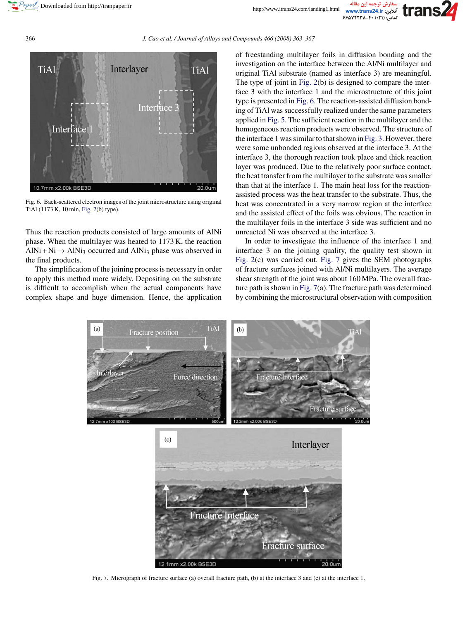## <span id="page-3-0"></span>366 *J. Cao et al. / Journal of Alloys and Compounds 466 (2008) 363–367*



Fig. 6. Back-scattered electron images of the joint microstructure using original TiAl (1173 K, 10 min, [Fig. 2\(b](#page-1-0)) type).

Thus the reaction products consisted of large amounts of AlNi phase. When the multilayer was heated to 1173 K, the reaction AlNi + Ni  $\rightarrow$  AlNi<sub>3</sub> occurred and AlNi<sub>3</sub> phase was observed in the final products.

The simplification of the joining process is necessary in order to apply this method more widely. Depositing on the substrate is difficult to accomplish when the actual components have complex shape and huge dimension. Hence, the application

of freestanding multilayer foils in diffusion bonding and the investigation on the interface between the Al/Ni multilayer and original TiAl substrate (named as interface 3) are meaningful. The type of joint in [Fig. 2\(b](#page-1-0)) is designed to compare the interface 3 with the interface 1 and the microstructure of this joint type is presented in Fig. 6. The reaction-assisted diffusion bonding of TiAl was successfully realized under the same parameters applied in [Fig. 5. T](#page-2-0)he sufficient reaction in the multilayer and the homogeneous reaction products were observed. The structure of the interface 1 was similar to that shown in [Fig. 3. H](#page-2-0)owever, there were some unbonded regions observed at the interface 3. At the interface 3, the thorough reaction took place and thick reaction layer was produced. Due to the relatively poor surface contact, the heat transfer from the multilayer to the substrate was smaller than that at the interface 1. The main heat loss for the reactionassisted process was the heat transfer to the substrate. Thus, the heat was concentrated in a very narrow region at the interface and the assisted effect of the foils was obvious. The reaction in the multilayer foils in the interface 3 side was sufficient and no unreacted Ni was observed at the interface 3.

In order to investigate the influence of the interface 1 and interface 3 on the joining quality, the quality test shown in [Fig. 2\(c](#page-1-0)) was carried out. Fig. 7 gives the SEM photographs of fracture surfaces joined with Al/Ni multilayers. The average shear strength of the joint was about 160 MPa. The overall fracture path is shown in Fig. 7(a). The fracture path was determined by combining the microstructural observation with composition



Fig. 7. Micrograph of fracture surface (a) overall fracture path, (b) at the interface 3 and (c) at the interface 1.